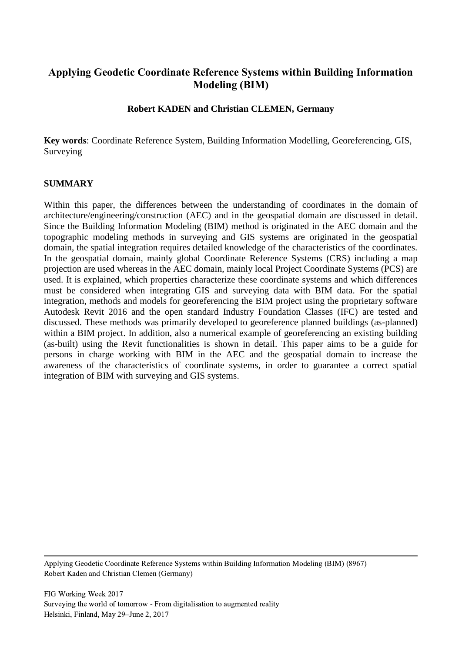# **Applying Geodetic Coordinate Reference Systems within Building Information Modeling (BIM)**

#### **Robert KADEN and Christian CLEMEN, Germany**

**Key words**: Coordinate Reference System, Building Information Modelling, Georeferencing, GIS, Surveying

#### **SUMMARY**

Within this paper, the differences between the understanding of coordinates in the domain of architecture/engineering/construction (AEC) and in the geospatial domain are discussed in detail. Since the Building Information Modeling (BIM) method is originated in the AEC domain and the topographic modeling methods in surveying and GIS systems are originated in the geospatial domain, the spatial integration requires detailed knowledge of the characteristics of the coordinates. In the geospatial domain, mainly global Coordinate Reference Systems (CRS) including a map projection are used whereas in the AEC domain, mainly local Project Coordinate Systems (PCS) are used. It is explained, which properties characterize these coordinate systems and which differences must be considered when integrating GIS and surveying data with BIM data. For the spatial integration, methods and models for georeferencing the BIM project using the proprietary software Autodesk Revit 2016 and the open standard Industry Foundation Classes (IFC) are tested and discussed. These methods was primarily developed to georeference planned buildings (as-planned) within a BIM project. In addition, also a numerical example of georeferencing an existing building (as-built) using the Revit functionalities is shown in detail. This paper aims to be a guide for persons in charge working with BIM in the AEC and the geospatial domain to increase the awareness of the characteristics of coordinate systems, in order to guarantee a correct spatial integration of BIM with surveying and GIS systems.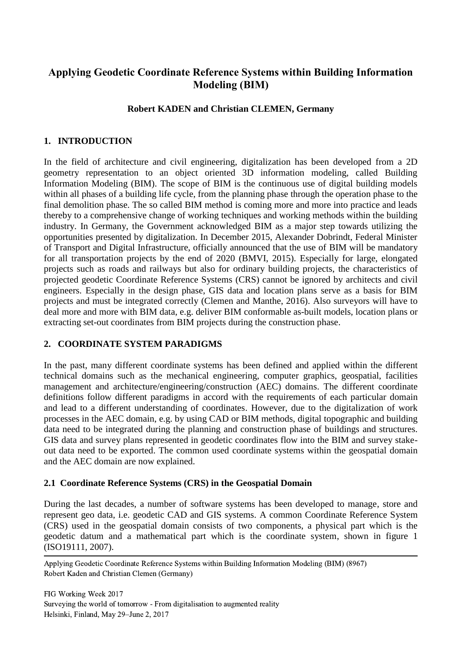# **Applying Geodetic Coordinate Reference Systems within Building Information Modeling (BIM)**

#### **Robert KADEN and Christian CLEMEN, Germany**

### **1. INTRODUCTION**

In the field of architecture and civil engineering, digitalization has been developed from a 2D geometry representation to an object oriented 3D information modeling, called Building Information Modeling (BIM). The scope of BIM is the continuous use of digital building models within all phases of a building life cycle, from the planning phase through the operation phase to the final demolition phase. The so called BIM method is coming more and more into practice and leads thereby to a comprehensive change of working techniques and working methods within the building industry. In Germany, the Government acknowledged BIM as a major step towards utilizing the opportunities presented by digitalization. In December 2015, Alexander Dobrindt, Federal Minister of Transport and Digital Infrastructure, officially announced that the use of BIM will be mandatory for all transportation projects by the end of 2020 (BMVI, 2015). Especially for large, elongated projects such as roads and railways but also for ordinary building projects, the characteristics of projected geodetic Coordinate Reference Systems (CRS) cannot be ignored by architects and civil engineers. Especially in the design phase, GIS data and location plans serve as a basis for BIM projects and must be integrated correctly (Clemen and Manthe, 2016). Also surveyors will have to deal more and more with BIM data, e.g. deliver BIM conformable as-built models, location plans or extracting set-out coordinates from BIM projects during the construction phase.

#### **2. COORDINATE SYSTEM PARADIGMS**

In the past, many different coordinate systems has been defined and applied within the different technical domains such as the mechanical engineering, computer graphics, geospatial, facilities management and architecture/engineering/construction (AEC) domains. The different coordinate definitions follow different paradigms in accord with the requirements of each particular domain and lead to a different understanding of coordinates. However, due to the digitalization of work processes in the AEC domain, e.g. by using CAD or BIM methods, digital topographic and building data need to be integrated during the planning and construction phase of buildings and structures. GIS data and survey plans represented in geodetic coordinates flow into the BIM and survey stakeout data need to be exported. The common used coordinate systems within the geospatial domain and the AEC domain are now explained.

#### **2.1 Coordinate Reference Systems (CRS) in the Geospatial Domain**

During the last decades, a number of software systems has been developed to manage, store and represent geo data, i.e. geodetic CAD and GIS systems. A common Coordinate Reference System (CRS) used in the geospatial domain consists of two components, a physical part which is the geodetic datum and a mathematical part which is the coordinate system, shown in figure 1 (ISO19111, 2007).

 Applying Geodetic Coordinate Reference Systems within Building Information Modeling (BIM) (8967) Robert Kaden and Christian Clemen (Germany)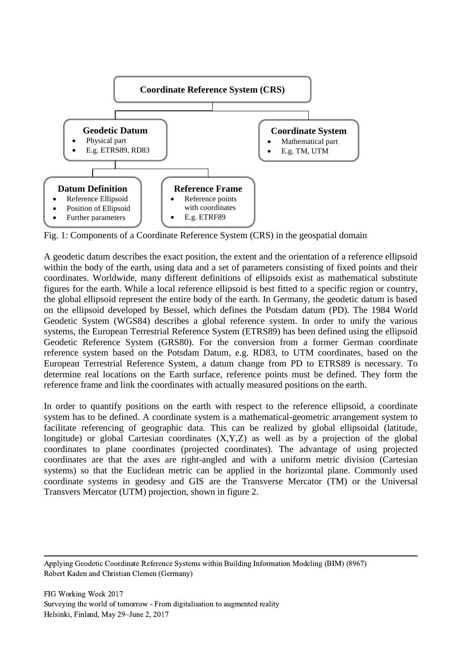

Fig. 1: Components of a Coordinate Reference System (CRS) in the geospatial domain

A geodetic datum describes the exact position, the extent and the orientation of a reference ellipsoid within the body of the earth, using data and a set of parameters consisting of fixed points and their coordinates. Worldwide, many different definitions of ellipsoids exist as mathematical substitute figures for the earth. While a local reference ellipsoid is best fitted to a specific region or country, the global ellipsoid represent the entire body of the earth. In Germany, the geodetic datum is based on the ellipsoid developed by Bessel, which defines the Potsdam datum (PD). The 1984 World Geodetic System (WGS84) describes a global reference system. In order to unify the various systems, the European Terrestrial Reference System (ETRS89) has been defined using the ellipsoid Geodetic Reference System (GRS80). For the conversion from a former German coordinate reference system based on the Potsdam Datum, e.g. RD83, to UTM coordinates, based on the European Terrestrial Reference System, a datum change from PD to ETRS89 is necessary. To determine real locations on the Earth surface, reference points must be defined. They form the reference frame and link the coordinates with actually measured positions on the earth.

In order to quantify positions on the earth with respect to the reference ellipsoid, a coordinate system has to be defined. A coordinate system is a mathematical-geometric arrangement system to facilitate referencing of geographic data. This can be realized by global ellipsoidal (latitude, longitude) or global Cartesian coordinates (X,Y,Z) as well as by a projection of the global coordinates to plane coordinates (projected coordinates). The advantage of using projected coordinates are that the axes are right-angled and with a uniform metric division (Cartesian systems) so that the Euclidean metric can be applied in the horizontal plane. Commonly used coordinate systems in geodesy and GIS are the Transverse Mercator (TM) or the Universal Transvers Mercator (UTM) projection, shown in figure 2.

 Applying Geodetic Coordinate Reference Systems within Building Information Modeling (BIM) (8967) Robert Kaden and Christian Clemen (Germany)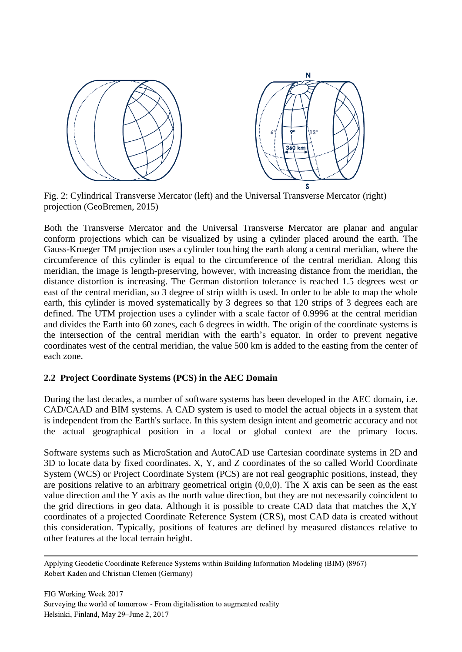

Fig. 2: Cylindrical Transverse Mercator (left) and the Universal Transverse Mercator (right) projection (GeoBremen, 2015)

Both the Transverse Mercator and the Universal Transverse Mercator are planar and angular conform projections which can be visualized by using a cylinder placed around the earth. The Gauss-Krueger TM projection uses a cylinder touching the earth along a central meridian, where the circumference of this cylinder is equal to the circumference of the central meridian. Along this meridian, the image is length-preserving, however, with increasing distance from the meridian, the distance distortion is increasing. The German distortion tolerance is reached 1.5 degrees west or east of the central meridian, so 3 degree of strip width is used. In order to be able to map the whole earth, this cylinder is moved systematically by 3 degrees so that 120 strips of 3 degrees each are defined. The UTM projection uses a cylinder with a scale factor of 0.9996 at the central meridian and divides the Earth into 60 zones, each 6 degrees in width. The origin of the coordinate systems is the intersection of the central meridian with the earth's equator. In order to prevent negative coordinates west of the central meridian, the value 500 km is added to the easting from the center of each zone.

### **2.2 Project Coordinate Systems (PCS) in the AEC Domain**

During the last decades, a number of software systems has been developed in the AEC domain, i.e. CAD/CAAD and BIM systems. A CAD system is used to model the actual objects in a system that is independent from the Earth's surface. In this system design intent and geometric accuracy and not the actual geographical position in a local or global context are the primary focus.

Software systems such as MicroStation and AutoCAD use Cartesian coordinate systems in 2D and 3D to locate data by fixed coordinates. X, Y, and Z coordinates of the so called World Coordinate System (WCS) or Project Coordinate System (PCS) are not real geographic positions, instead, they are positions relative to an arbitrary geometrical origin (0,0,0). The X axis can be seen as the east value direction and the Y axis as the north value direction, but they are not necessarily coincident to the grid directions in geo data. Although it is possible to create CAD data that matches the X,Y coordinates of a projected Coordinate Reference System (CRS), most CAD data is created without this consideration. Typically, positions of features are defined by measured distances relative to other features at the local terrain height.

 Applying Geodetic Coordinate Reference Systems within Building Information Modeling (BIM) (8967) Robert Kaden and Christian Clemen (Germany)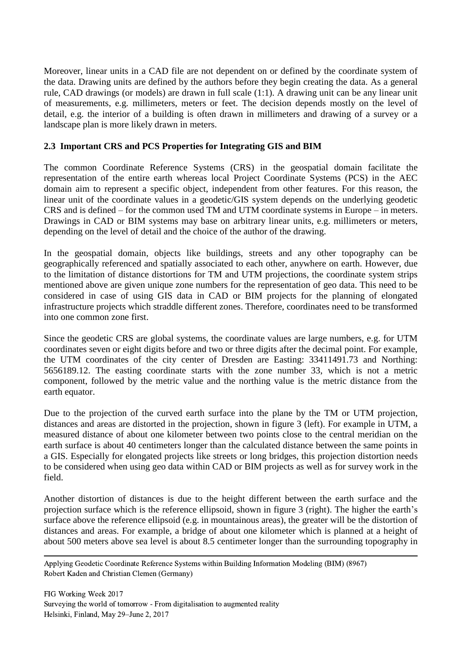Moreover, linear units in a CAD file are not dependent on or defined by the coordinate system of the data. Drawing units are defined by the authors before they begin creating the data. As a general rule, CAD drawings (or models) are drawn in full scale (1:1). A drawing unit can be any linear unit of measurements, e.g. millimeters, meters or feet. The decision depends mostly on the level of detail, e.g. the interior of a building is often drawn in millimeters and drawing of a survey or a landscape plan is more likely drawn in meters.

## **2.3 Important CRS and PCS Properties for Integrating GIS and BIM**

The common Coordinate Reference Systems (CRS) in the geospatial domain facilitate the representation of the entire earth whereas local Project Coordinate Systems (PCS) in the AEC domain aim to represent a specific object, independent from other features. For this reason, the linear unit of the coordinate values in a geodetic/GIS system depends on the underlying geodetic CRS and is defined – for the common used TM and UTM coordinate systems in Europe – in meters. Drawings in CAD or BIM systems may base on arbitrary linear units, e.g. millimeters or meters, depending on the level of detail and the choice of the author of the drawing.

In the geospatial domain, objects like buildings, streets and any other topography can be geographically referenced and spatially associated to each other, anywhere on earth. However, due to the limitation of distance distortions for TM and UTM projections, the coordinate system strips mentioned above are given unique zone numbers for the representation of geo data. This need to be considered in case of using GIS data in CAD or BIM projects for the planning of elongated infrastructure projects which straddle different zones. Therefore, coordinates need to be transformed into one common zone first.

Since the geodetic CRS are global systems, the coordinate values are large numbers, e.g. for UTM coordinates seven or eight digits before and two or three digits after the decimal point. For example, the UTM coordinates of the city center of Dresden are Easting: 33411491.73 and Northing: 5656189.12. The easting coordinate starts with the zone number 33, which is not a metric component, followed by the metric value and the northing value is the metric distance from the earth equator.

Due to the projection of the curved earth surface into the plane by the TM or UTM projection, distances and areas are distorted in the projection, shown in figure 3 (left). For example in UTM, a measured distance of about one kilometer between two points close to the central meridian on the earth surface is about 40 centimeters longer than the calculated distance between the same points in a GIS. Especially for elongated projects like streets or long bridges, this projection distortion needs to be considered when using geo data within CAD or BIM projects as well as for survey work in the field.

Another distortion of distances is due to the height different between the earth surface and the projection surface which is the reference ellipsoid, shown in figure 3 (right). The higher the earth's surface above the reference ellipsoid (e.g. in mountainous areas), the greater will be the distortion of distances and areas. For example, a bridge of about one kilometer which is planned at a height of about 500 meters above sea level is about 8.5 centimeter longer than the surrounding topography in

 Applying Geodetic Coordinate Reference Systems within Building Information Modeling (BIM) (8967) Robert Kaden and Christian Clemen (Germany)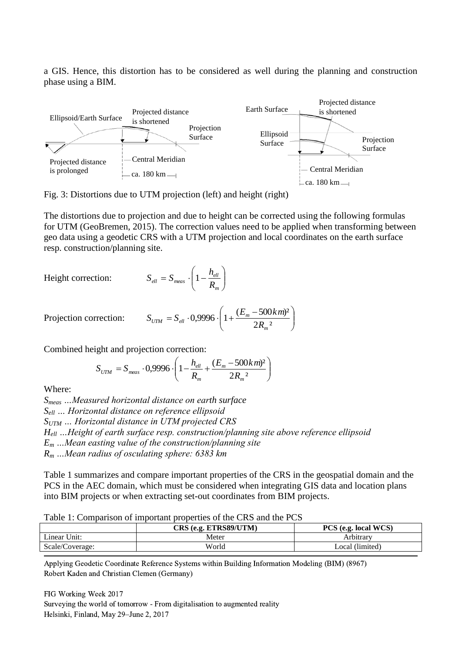a GIS. Hence, this distortion has to be considered as well during the planning and construction phase using a BIM.



Fig. 3: Distortions due to UTM projection (left) and height (right)

The distortions due to projection and due to height can be corrected using the following formulas for UTM (GeoBremen, 2015). The correction values need to be applied when transforming between geo data using a geodetic CRS with a UTM projection and local coordinates on the earth surface resp. construction/planning site.

Height correction:

$$
S_{ell} = S_{meas} \cdot \left(1 - \frac{h_{ell}}{R_m}\right)
$$

Projection correction:  $\overline{\phantom{a}}$ J  $\setminus$  $\overline{\phantom{a}}$  $\setminus$  $= S_{\rm el} \cdot 0.9996 \cdot \left(1 + \frac{(E_m 2R_{m}^{2}$  $( 0.9996 \cdot \left( 1 + \frac{(E_m - 500 \text{ km})^2}{2.5} \right)$ *m*  $V_{UTM} = S_{ell} \cdot 0.9996 \cdot \left(1 + \frac{(L_m - S)^2}{2R}\right)$  $S_{ijTM} = S_{ell} \cdot 0.9996 \cdot \left(1 + \frac{(E_m - 500km)}{2.5 \cdot 10^{-3}}\right)$ 

Combined height and projection correction:

ight and projection correction:  
\n
$$
S_{UTM} = S_{meas} \cdot 0,9996 \cdot \left(1 - \frac{h_{ell}}{R_m} + \frac{(E_m - 500km)^2}{2R_m^2}\right)
$$

Where:

*Smeas …Measured horizontal distance on earth surface Sell … Horizontal distance on reference ellipsoid SUTM … Horizontal distance in UTM projected CRS Hell …Height of earth surface resp. construction/planning site above reference ellipsoid E<sup>m</sup> …Mean easting value of the construction/planning site R<sup>m</sup> …Mean radius of osculating sphere: 6383 km*

Table 1 summarizes and compare important properties of the CRS in the geospatial domain and the PCS in the AEC domain, which must be considered when integrating GIS data and location plans into BIM projects or when extracting set-out coordinates from BIM projects.

|                 | CRS (e.g. ETRS89/UTM) | PCS (e.g. local WCS) |
|-----------------|-----------------------|----------------------|
| Linear Unit:    | Meter                 | Arbitrarv            |
| Scale/Coverage: | World                 | Local (limited)      |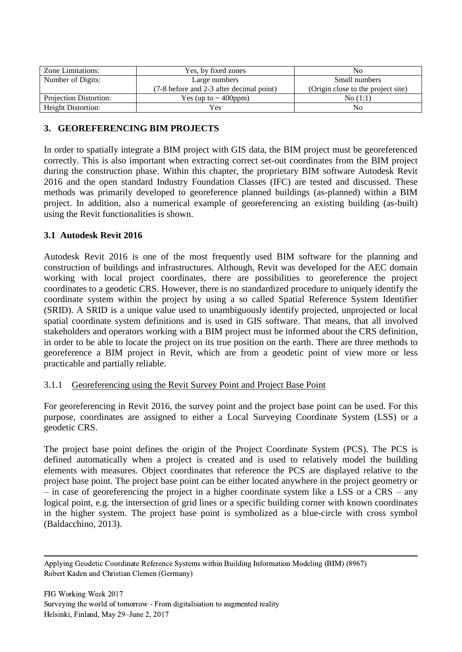| Zone Limitations:             | Yes, by fixed zones                      | No                                 |  |
|-------------------------------|------------------------------------------|------------------------------------|--|
| Number of Digits:             | Large numbers                            | Small numbers                      |  |
|                               | (7-8 before and 2-3 after decimal point) | (Origin close to the project site) |  |
| <b>Projection Distortion:</b> | Yes (up to $\sim$ 400ppm)                | No(1:1)                            |  |
| <b>Height Distortion:</b>     | Yes                                      | No                                 |  |

## **3. GEOREFERENCING BIM PROJECTS**

In order to spatially integrate a BIM project with GIS data, the BIM project must be georeferenced correctly. This is also important when extracting correct set-out coordinates from the BIM project during the construction phase. Within this chapter, the proprietary BIM software Autodesk Revit 2016 and the open standard Industry Foundation Classes (IFC) are tested and discussed. These methods was primarily developed to georeference planned buildings (as-planned) within a BIM project. In addition, also a numerical example of georeferencing an existing building (as-built) using the Revit functionalities is shown.

### **3.1 Autodesk Revit 2016**

Autodesk Revit 2016 is one of the most frequently used BIM software for the planning and construction of buildings and infrastructures. Although, Revit was developed for the AEC domain working with local project coordinates, there are possibilities to georeference the project coordinates to a geodetic CRS. However, there is no standardized procedure to uniquely identify the coordinate system within the project by using a so called Spatial Reference System Identifier (SRID). A SRID is a unique value used to unambiguously identify projected, unprojected or local spatial coordinate system definitions and is used in GIS software. That means, that all involved stakeholders and operators working with a BIM project must be informed about the CRS definition, in order to be able to locate the project on its true position on the earth. There are three methods to georeference a BIM project in Revit, which are from a geodetic point of view more or less practicable and partially reliable.

### 3.1.1 Georeferencing using the Revit Survey Point and Project Base Point

For georeferencing in Revit 2016, the survey point and the project base point can be used. For this purpose, coordinates are assigned to either a Local Surveying Coordinate System (LSS) or a geodetic CRS.

The project base point defines the origin of the Project Coordinate System (PCS). The PCS is defined automatically when a project is created and is used to relatively model the building elements with measures. Object coordinates that reference the PCS are displayed relative to the project base point. The project base point can be either located anywhere in the project geometry or – in case of georeferencing the project in a higher coordinate system like a LSS or a CRS – any logical point, e.g. the intersection of grid lines or a specific building corner with known coordinates in the higher system. The project base point is symbolized as a blue-circle with cross symbol (Baldacchino, 2013).

 Applying Geodetic Coordinate Reference Systems within Building Information Modeling (BIM) (8967) Robert Kaden and Christian Clemen (Germany)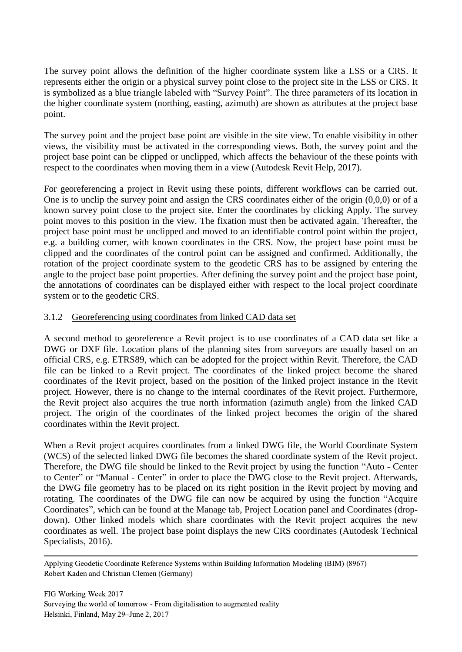The survey point allows the definition of the higher coordinate system like a LSS or a CRS. It represents either the origin or a physical survey point close to the project site in the LSS or CRS. It is symbolized as a blue triangle labeled with "Survey Point". The three parameters of its location in the higher coordinate system (northing, easting, azimuth) are shown as attributes at the project base point.

The survey point and the project base point are visible in the site view. To enable visibility in other views, the visibility must be activated in the corresponding views. Both, the survey point and the project base point can be clipped or unclipped, which affects the behaviour of the these points with respect to the coordinates when moving them in a view (Autodesk Revit Help, 2017).

For georeferencing a project in Revit using these points, different workflows can be carried out. One is to unclip the survey point and assign the CRS coordinates either of the origin (0,0,0) or of a known survey point close to the project site. Enter the coordinates by clicking Apply. The survey point moves to this position in the view. The fixation must then be activated again. Thereafter, the project base point must be unclipped and moved to an identifiable control point within the project, e.g. a building corner, with known coordinates in the CRS. Now, the project base point must be clipped and the coordinates of the control point can be assigned and confirmed. Additionally, the rotation of the project coordinate system to the geodetic CRS has to be assigned by entering the angle to the project base point properties. After defining the survey point and the project base point, the annotations of coordinates can be displayed either with respect to the local project coordinate system or to the geodetic CRS.

### 3.1.2 Georeferencing using coordinates from linked CAD data set

A second method to georeference a Revit project is to use coordinates of a CAD data set like a DWG or DXF file. Location plans of the planning sites from surveyors are usually based on an official CRS, e.g. ETRS89, which can be adopted for the project within Revit. Therefore, the CAD file can be linked to a Revit project. The coordinates of the linked project become the shared coordinates of the Revit project, based on the position of the linked project instance in the Revit project. However, there is no change to the internal coordinates of the Revit project. Furthermore, the Revit project also acquires the true north information (azimuth angle) from the linked CAD project. The origin of the coordinates of the linked project becomes the origin of the shared coordinates within the Revit project.

When a Revit project acquires coordinates from a linked DWG file, the World Coordinate System (WCS) of the selected linked DWG file becomes the shared coordinate system of the Revit project. Therefore, the DWG file should be linked to the Revit project by using the function "Auto - Center to Center" or "Manual - Center" in order to place the DWG close to the Revit project. Afterwards, the DWG file geometry has to be placed on its right position in the Revit project by moving and rotating. The coordinates of the DWG file can now be acquired by using the function "Acquire Coordinates", which can be found at the Manage tab, Project Location panel and Coordinates (dropdown). Other linked models which share coordinates with the Revit project acquires the new coordinates as well. The project base point displays the new CRS coordinates (Autodesk Technical Specialists, 2016).

 Applying Geodetic Coordinate Reference Systems within Building Information Modeling (BIM) (8967) Robert Kaden and Christian Clemen (Germany)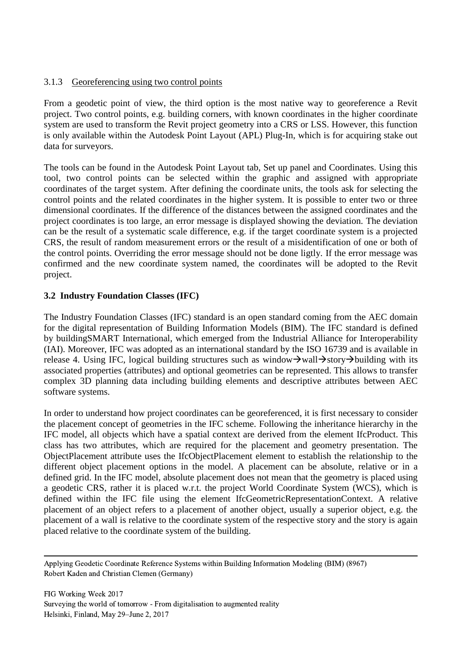### 3.1.3 Georeferencing using two control points

From a geodetic point of view, the third option is the most native way to georeference a Revit project. Two control points, e.g. building corners, with known coordinates in the higher coordinate system are used to transform the Revit project geometry into a CRS or LSS. However, this function is only available within the Autodesk Point Layout (APL) Plug-In, which is for acquiring stake out data for surveyors.

The tools can be found in the Autodesk Point Layout tab, Set up panel and Coordinates. Using this tool, two control points can be selected within the graphic and assigned with appropriate coordinates of the target system. After defining the coordinate units, the tools ask for selecting the control points and the related coordinates in the higher system. It is possible to enter two or three dimensional coordinates. If the difference of the distances between the assigned coordinates and the project coordinates is too large, an error message is displayed showing the deviation. The deviation can be the result of a systematic scale difference, e.g. if the target coordinate system is a projected CRS, the result of random measurement errors or the result of a misidentification of one or both of the control points. Overriding the error message should not be done ligtly. If the error message was confirmed and the new coordinate system named, the coordinates will be adopted to the Revit project.

## **3.2 Industry Foundation Classes (IFC)**

The Industry Foundation Classes (IFC) standard is an open standard coming from the AEC domain for the digital representation of Building Information Models (BIM). The IFC standard is defined by buildingSMART International, which emerged from the Industrial Alliance for Interoperability (IAI). Moreover, IFC was adopted as an international standard by the ISO 16739 and is available in release 4. Using IFC, logical building structures such as window $\rightarrow$ wall $\rightarrow$ story $\rightarrow$ building with its associated properties (attributes) and optional geometries can be represented. This allows to transfer complex 3D planning data including building elements and descriptive attributes between AEC software systems.

In order to understand how project coordinates can be georeferenced, it is first necessary to consider the placement concept of geometries in the IFC scheme. Following the inheritance hierarchy in the IFC model, all objects which have a spatial context are derived from the element IfcProduct. This class has two attributes, which are required for the placement and geometry presentation. The ObjectPlacement attribute uses the IfcObjectPlacement element to establish the relationship to the different object placement options in the model. A placement can be absolute, relative or in a defined grid. In the IFC model, absolute placement does not mean that the geometry is placed using a geodetic CRS, rather it is placed w.r.t. the project World Coordinate System (WCS), which is defined within the IFC file using the element IfcGeometricRepresentationContext. A relative placement of an object refers to a placement of another object, usually a superior object, e.g. the placement of a wall is relative to the coordinate system of the respective story and the story is again placed relative to the coordinate system of the building.

 Applying Geodetic Coordinate Reference Systems within Building Information Modeling (BIM) (8967) Robert Kaden and Christian Clemen (Germany)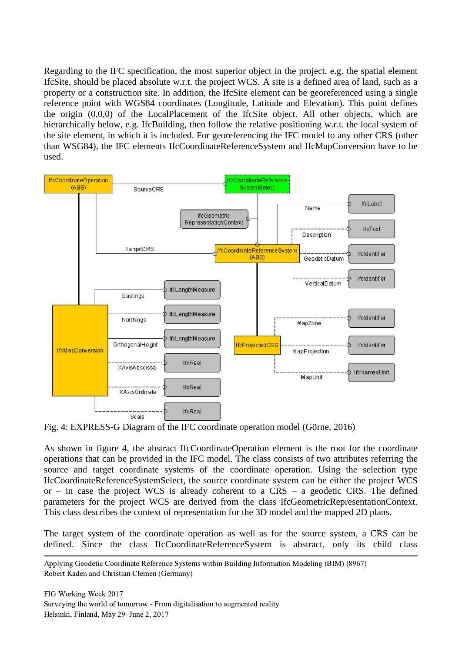Regarding to the IFC specification, the most superior object in the project, e.g. the spatial element IfcSite, should be placed absolute w.r.t. the project WCS. A site is a defined area of land, such as a property or a construction site. In addition, the IfcSite element can be georeferenced using a single reference point with WGS84 coordinates (Longitude, Latitude and Elevation). This point defines the origin (0,0,0) of the LocalPlacement of the IfcSite object. All other objects, which are hierarchically below, e.g. IfcBuilding, then follow the relative positioning w.r.t. the local system of the site element, in which it is included. For georeferencing the IFC model to any other CRS (other than WSG84), the IFC elements IfcCoordinateReferenceSystem and IfcMapConversion have to be used.



Fig. 4: EXPRESS-G Diagram of the IFC coordinate operation model (Görne, 2016)

As shown in figure 4, the abstract IfcCoordinateOperation element is the root for the coordinate operations that can be provided in the IFC model. The class consists of two attributes referring the source and target coordinate systems of the coordinate operation. Using the selection type IfcCoordinateReferenceSystemSelect, the source coordinate system can be either the project WCS or – in case the project WCS is already coherent to a  $CRS$  – a geodetic CRS. The defined parameters for the project WCS are derived from the class IfcGeometricRepresentationContext. This class describes the context of representation for the 3D model and the mapped 2D plans.

The target system of the coordinate operation as well as for the source system, a CRS can be defined. Since the class IfcCoordinateReferenceSystem is abstract, only its child class

 Applying Geodetic Coordinate Reference Systems within Building Information Modeling (BIM) (8967) Robert Kaden and Christian Clemen (Germany)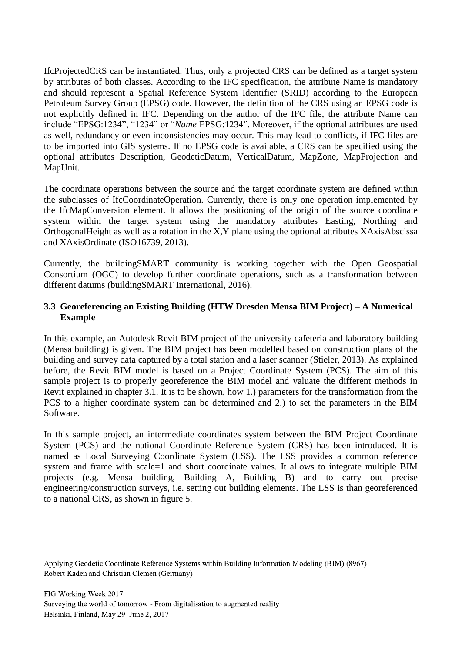IfcProjectedCRS can be instantiated. Thus, only a projected CRS can be defined as a target system by attributes of both classes. According to the IFC specification, the attribute Name is mandatory and should represent a Spatial Reference System Identifier (SRID) according to the European Petroleum Survey Group (EPSG) code. However, the definition of the CRS using an EPSG code is not explicitly defined in IFC. Depending on the author of the IFC file, the attribute Name can include "EPSG:1234", "1234" or "*Name* EPSG:1234". Moreover, if the optional attributes are used as well, redundancy or even inconsistencies may occur. This may lead to conflicts, if IFC files are to be imported into GIS systems. If no EPSG code is available, a CRS can be specified using the optional attributes Description, GeodeticDatum, VerticalDatum, MapZone, MapProjection and MapUnit.

The coordinate operations between the source and the target coordinate system are defined within the subclasses of IfcCoordinateOperation. Currently, there is only one operation implemented by the IfcMapConversion element. It allows the positioning of the origin of the source coordinate system within the target system using the mandatory attributes Easting, Northing and OrthogonalHeight as well as a rotation in the X,Y plane using the optional attributes XAxisAbscissa and XAxisOrdinate (ISO16739, 2013).

Currently, the buildingSMART community is working together with the Open Geospatial Consortium (OGC) to develop further coordinate operations, such as a transformation between different datums (buildingSMART International, 2016).

## **3.3 Georeferencing an Existing Building (HTW Dresden Mensa BIM Project) – A Numerical Example**

In this example, an Autodesk Revit BIM project of the university cafeteria and laboratory building (Mensa building) is given. The BIM project has been modelled based on construction plans of the building and survey data captured by a total station and a laser scanner (Stieler, 2013). As explained before, the Revit BIM model is based on a Project Coordinate System (PCS). The aim of this sample project is to properly georeference the BIM model and valuate the different methods in Revit explained in chapter 3.1. It is to be shown, how 1.) parameters for the transformation from the PCS to a higher coordinate system can be determined and 2.) to set the parameters in the BIM Software.

In this sample project, an intermediate coordinates system between the BIM Project Coordinate System (PCS) and the national Coordinate Reference System (CRS) has been introduced. It is named as Local Surveying Coordinate System (LSS). The LSS provides a common reference system and frame with scale=1 and short coordinate values. It allows to integrate multiple BIM projects (e.g. Mensa building, Building A, Building B) and to carry out precise engineering/construction surveys, i.e. setting out building elements. The LSS is than georeferenced to a national CRS, as shown in figure 5.

 Applying Geodetic Coordinate Reference Systems within Building Information Modeling (BIM) (8967) Robert Kaden and Christian Clemen (Germany)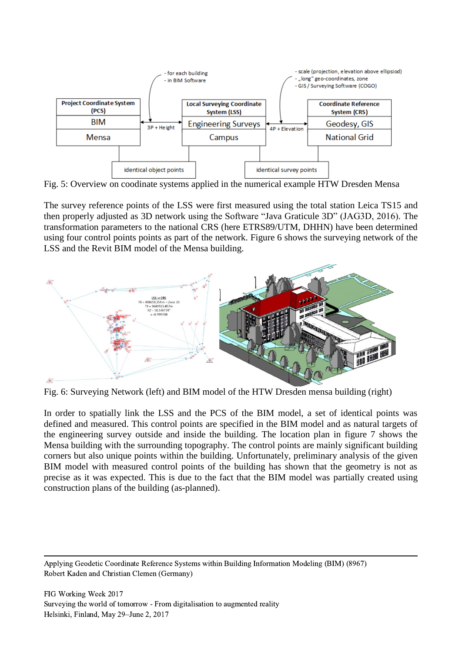

Fig. 5: Overview on coodinate systems applied in the numerical example HTW Dresden Mensa

The survey reference points of the LSS were first measured using the total station Leica TS15 and then properly adjusted as 3D network using the Software "Java Graticule 3D" (JAG3D, 2016). The transformation parameters to the national CRS (here ETRS89/UTM, DHHN) have been determined using four control points points as part of the network. Figure 6 shows the surveying network of the LSS and the Revit BIM model of the Mensa building.



Fig. 6: Surveying Network (left) and BIM model of the HTW Dresden mensa building (right)

In order to spatially link the LSS and the PCS of the BIM model, a set of identical points was defined and measured. This control points are specified in the BIM model and as natural targets of the engineering survey outside and inside the building. The location plan in figure 7 shows the Mensa building with the surrounding topography. The control points are mainly significant building corners but also unique points within the building. Unfortunately, preliminary analysis of the given BIM model with measured control points of the building has shown that the geometry is not as precise as it was expected. This is due to the fact that the BIM model was partially created using construction plans of the building (as-planned).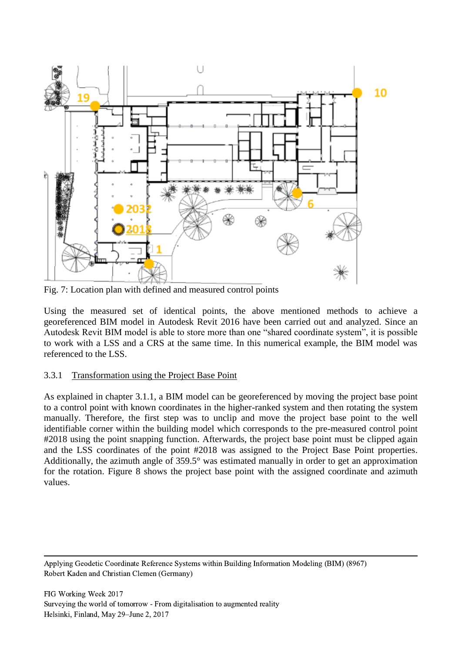

Fig. 7: Location plan with defined and measured control points

Using the measured set of identical points, the above mentioned methods to achieve a georeferenced BIM model in Autodesk Revit 2016 have been carried out and analyzed. Since an Autodesk Revit BIM model is able to store more than one "shared coordinate system", it is possible to work with a LSS and a CRS at the same time. In this numerical example, the BIM model was referenced to the LSS.

### 3.3.1 Transformation using the Project Base Point

As explained in chapter 3.1.1, a BIM model can be georeferenced by moving the project base point to a control point with known coordinates in the higher-ranked system and then rotating the system manually. Therefore, the first step was to unclip and move the project base point to the well identifiable corner within the building model which corresponds to the pre-measured control point #2018 using the point snapping function. Afterwards, the project base point must be clipped again and the LSS coordinates of the point #2018 was assigned to the Project Base Point properties. Additionally, the azimuth angle of 359.5° was estimated manually in order to get an approximation for the rotation. Figure 8 shows the project base point with the assigned coordinate and azimuth values.

 Applying Geodetic Coordinate Reference Systems within Building Information Modeling (BIM) (8967) Robert Kaden and Christian Clemen (Germany)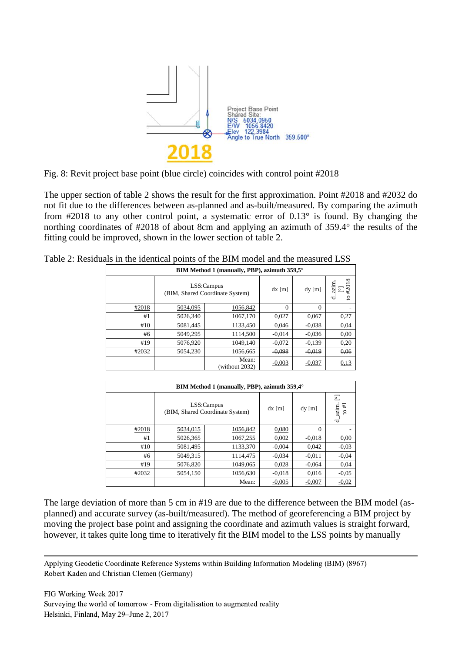

Fig. 8: Revit project base point (blue circle) coincides with control point #2018

The upper section of table 2 shows the result for the first approximation. Point #2018 and #2032 do not fit due to the differences between as-planned and as-built/measured. By comparing the azimuth from #2018 to any other control point, a systematic error of 0.13° is found. By changing the northing coordinates of #2018 of about 8cm and applying an azimuth of 359.4° the results of the fitting could be improved, shown in the lower section of table 2.

| BIM Method 1 (manually, PBP), azimuth 359,5° |          |                                               |          |                |                                                   |  |
|----------------------------------------------|----------|-----------------------------------------------|----------|----------------|---------------------------------------------------|--|
|                                              |          | LSS:Campus<br>(BIM, Shared Coordinate System) | $dx$ [m] | $dy$ [m]       | 018<br>$\lim_{n \to \infty}$<br>$\mathbf{S}$<br>右 |  |
| #2018                                        | 5034,095 | 1056,842                                      | $\Omega$ | $\overline{0}$ |                                                   |  |
| #1                                           | 5026,340 | 1067,170                                      | 0,027    | 0,067          | 0,27                                              |  |
| #10                                          | 5081,445 | 1133,450                                      | 0,046    | $-0.038$       | 0.04                                              |  |
| #6                                           | 5049,295 | 1114,500                                      | $-0.014$ | $-0.036$       | 0.00                                              |  |
| #19                                          | 5076,920 | 1049,140                                      | $-0.072$ | $-0.139$       | 0.20                                              |  |
| #2032                                        | 5054,230 | 1056,665                                      | $-0.098$ | $-0.019$       | 0.06                                              |  |
|                                              |          | Mean:<br>(without 2032)                       | $-0,003$ | $-0,037$       | 0,13                                              |  |

| BIM Method 1 (manually, PBP), azimuth 359,4° |                                               |          |          |          |                                                     |  |  |
|----------------------------------------------|-----------------------------------------------|----------|----------|----------|-----------------------------------------------------|--|--|
|                                              | LSS:Campus<br>(BIM, Shared Coordinate System) |          | $dx$ [m] | $dy$ [m] | $\overline{\circ}$<br>azim.<br>$\overline{14}$<br>ರ |  |  |
| #2018                                        | 5034,015                                      | 1056,842 | 0,080    | $\theta$ |                                                     |  |  |
| #1                                           | 5026,365                                      | 1067,255 | 0,002    | $-0.018$ | 0.00                                                |  |  |
| #10                                          | 5081,495                                      | 1133,370 | $-0.004$ | 0.042    | $-0,03$                                             |  |  |
| #6                                           | 5049,315                                      | 1114,475 | $-0.034$ | $-0.011$ | $-0,04$                                             |  |  |
| #19                                          | 5076,820                                      | 1049,065 | 0,028    | $-0.064$ | 0,04                                                |  |  |
| #2032                                        | 5054,150                                      | 1056,630 | $-0.018$ | 0,016    | $-0,05$                                             |  |  |
|                                              |                                               | Mean:    | $-0,005$ | $-0,007$ | $-0,02$                                             |  |  |

The large deviation of more than 5 cm in #19 are due to the difference between the BIM model (asplanned) and accurate survey (as-built/measured). The method of georeferencing a BIM project by moving the project base point and assigning the coordinate and azimuth values is straight forward, however, it takes quite long time to iteratively fit the BIM model to the LSS points by manually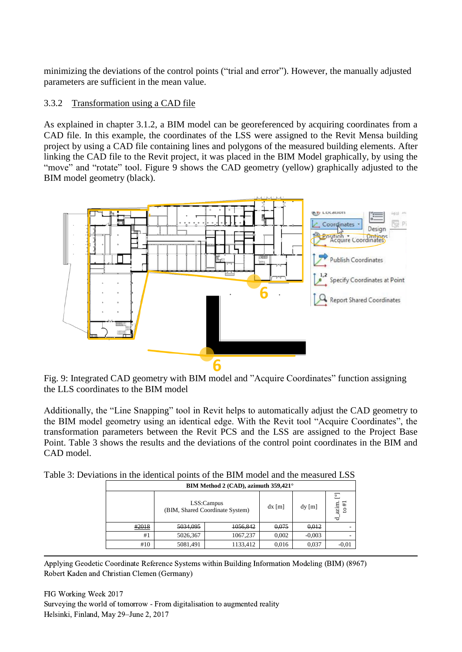minimizing the deviations of the control points ("trial and error"). However, the manually adjusted parameters are sufficient in the mean value.

## 3.3.2 Transformation using a CAD file

As explained in chapter 3.1.2, a BIM model can be georeferenced by acquiring coordinates from a CAD file. In this example, the coordinates of the LSS were assigned to the Revit Mensa building project by using a CAD file containing lines and polygons of the measured building elements. After linking the CAD file to the Revit project, it was placed in the BIM Model graphically, by using the "move" and "rotate" tool. Figure 9 shows the CAD geometry (yellow) graphically adjusted to the BIM model geometry (black).



Fig. 9: Integrated CAD geometry with BIM model and "Acquire Coordinates" function assigning the LLS coordinates to the BIM model

Additionally, the "Line Snapping" tool in Revit helps to automatically adjust the CAD geometry to the BIM model geometry using an identical edge. With the Revit tool "Acquire Coordinates", the transformation parameters between the Revit PCS and the LSS are assigned to the Project Base Point. Table 3 shows the results and the deviations of the control point coordinates in the BIM and CAD model.

|  | Table 3: Deviations in the identical points of the BIM model and the measured LSS |  |
|--|-----------------------------------------------------------------------------------|--|
|--|-----------------------------------------------------------------------------------|--|

| BIM Method 2 (CAD), azimuth 359,421° |                                               |          |          |          |                                                                                          |  |
|--------------------------------------|-----------------------------------------------|----------|----------|----------|------------------------------------------------------------------------------------------|--|
|                                      | LSS:Campus<br>(BIM, Shared Coordinate System) |          | $dx$ [m] | $dy$ [m] | $\circ$<br>$\begin{array}{c} \mathop{\rm azim.} \\ \mathop{\rm to \#1} \end{array}$<br>ᆷ |  |
| #2018                                | 5034.095                                      | 1056,842 | 0,075    | 0.012    |                                                                                          |  |
| #1                                   | 5026,367                                      | 1067,237 | 0,002    | $-0.003$ |                                                                                          |  |
| #10                                  | 5081,491                                      | 1133,412 | 0,016    | 0,037    | $-0.01$                                                                                  |  |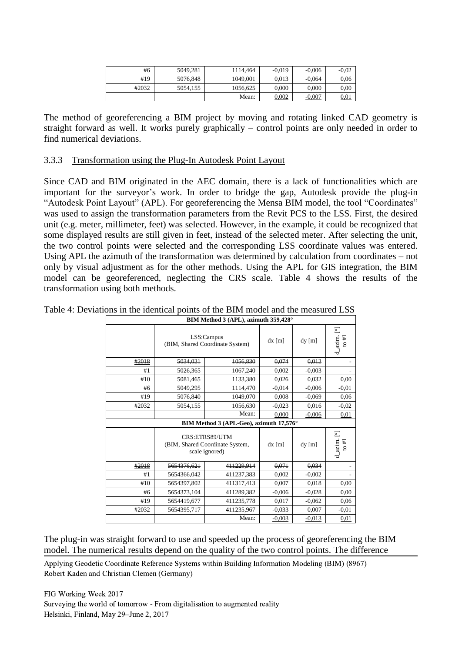| #6    | 5049.281 | 1114.464 | $-0.019$ | $-0.006$ | $-0.02$ |
|-------|----------|----------|----------|----------|---------|
| #19   | 5076.848 | 1049,001 | 0.013    | $-0.064$ | 0.06    |
| #2032 | 5054.155 | 1056.625 | 0.000    | 0.000    | 0.00    |
|       |          | Mean:    | 0,002    | $-0,007$ | 0,01    |

The method of georeferencing a BIM project by moving and rotating linked CAD geometry is straight forward as well. It works purely graphically – control points are only needed in order to find numerical deviations.

#### 3.3.3 Transformation using the Plug-In Autodesk Point Layout

Since CAD and BIM originated in the AEC domain, there is a lack of functionalities which are important for the surveyor's work. In order to bridge the gap, Autodesk provide the plug-in "Autodesk Point Layout" (APL). For georeferencing the Mensa BIM model, the tool "Coordinates" was used to assign the transformation parameters from the Revit PCS to the LSS. First, the desired unit (e.g. meter, millimeter, feet) was selected. However, in the example, it could be recognized that some displayed results are still given in feet, instead of the selected meter. After selecting the unit, the two control points were selected and the corresponding LSS coordinate values was entered. Using APL the azimuth of the transformation was determined by calculation from coordinates – not only by visual adjustment as for the other methods. Using the APL for GIS integration, the BIM model can be georeferenced, neglecting the CRS scale. Table 4 shows the results of the transformation using both methods.

|       |                                                                     | BIM Method 3 (APL), azimuth 359,428°          |          |          |                                                                       |
|-------|---------------------------------------------------------------------|-----------------------------------------------|----------|----------|-----------------------------------------------------------------------|
|       |                                                                     | LSS:Campus<br>(BIM, Shared Coordinate System) | $dx$ [m] | $dy$ [m] | $\overline{\ }$<br>$\frac{\mathrm{d}\_ax\mathrm{im}}{\mathrm{to}\#1}$ |
| #2018 | 5034,021                                                            | 1056,830                                      | 0,074    | 0.012    |                                                                       |
| #1    | 5026,365                                                            | 1067,240                                      | 0,002    | $-0,003$ |                                                                       |
| #10   | 5081,465                                                            | 1133,380                                      | 0,026    | 0,032    | 0.00                                                                  |
| #6    | 5049,295                                                            | 1114,470                                      | $-0.014$ | $-0,006$ | $-0.01$                                                               |
| #19   | 5076,840                                                            | 1049,070                                      | 0,008    | $-0.069$ | 0.06                                                                  |
| #2032 | 5054,155                                                            | 1056,630                                      | $-0.023$ | 0.016    | $-0,02$                                                               |
|       |                                                                     | Mean:                                         | 0.000    | $-0,006$ | 0,01                                                                  |
|       |                                                                     | BIM Method 3 (APL-Geo), azimuth 17,576°       |          |          |                                                                       |
|       | CRS:ETRS89/UTM<br>(BIM, Shared Coordinate System,<br>scale ignored) |                                               | $dx$ [m] | $dy$ [m] | Σ<br>$\frac{\mathrm{d}\_ \mathrm{azim.}}{\mathrm{to}\,\#1}$           |
| #2018 | 5654376.621                                                         | 411229.914                                    | 0,071    | 0,034    |                                                                       |
| #1    | 5654366,042                                                         | 411237,383                                    | 0,002    | $-0,002$ |                                                                       |
| #10   | 5654397,802                                                         | 411317,413                                    | 0,007    | 0,018    | 0,00                                                                  |
| #6    | 5654373,104                                                         | 411289,382                                    | $-0,006$ | $-0.028$ | 0,00                                                                  |
| #19   | 5654419,677                                                         | 411235,778                                    | 0,017    | $-0.062$ | 0,06                                                                  |
| #2032 | 5654395,717                                                         | 411235,967                                    | $-0.033$ | 0,007    | $-0.01$                                                               |
|       |                                                                     | Mean:                                         | $-0,003$ | $-0,013$ | 0,01                                                                  |

Table 4: Deviations in the identical points of the BIM model and the measured LSS

The plug-in was straight forward to use and speeded up the process of georeferencing the BIM model. The numerical results depend on the quality of the two control points. The difference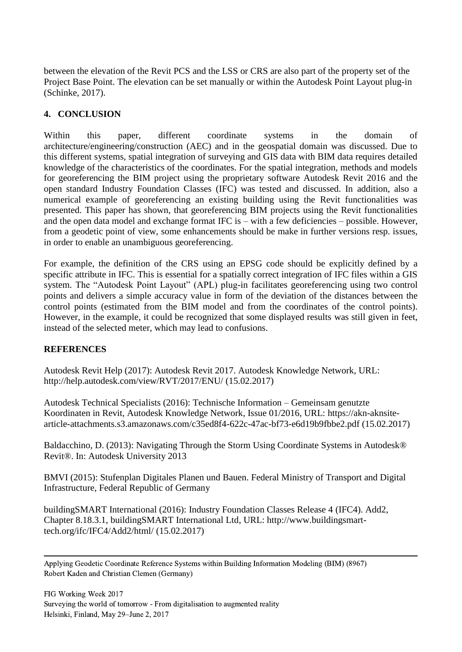between the elevation of the Revit PCS and the LSS or CRS are also part of the property set of the Project Base Point. The elevation can be set manually or within the Autodesk Point Layout plug-in (Schinke, 2017).

# **4. CONCLUSION**

Within this paper, different coordinate systems in the domain of architecture/engineering/construction (AEC) and in the geospatial domain was discussed. Due to this different systems, spatial integration of surveying and GIS data with BIM data requires detailed knowledge of the characteristics of the coordinates. For the spatial integration, methods and models for georeferencing the BIM project using the proprietary software Autodesk Revit 2016 and the open standard Industry Foundation Classes (IFC) was tested and discussed. In addition, also a numerical example of georeferencing an existing building using the Revit functionalities was presented. This paper has shown, that georeferencing BIM projects using the Revit functionalities and the open data model and exchange format IFC is – with a few deficiencies – possible. However, from a geodetic point of view, some enhancements should be make in further versions resp. issues, in order to enable an unambiguous georeferencing.

For example, the definition of the CRS using an EPSG code should be explicitly defined by a specific attribute in IFC. This is essential for a spatially correct integration of IFC files within a GIS system. The "Autodesk Point Layout" (APL) plug-in facilitates georeferencing using two control points and delivers a simple accuracy value in form of the deviation of the distances between the control points (estimated from the BIM model and from the coordinates of the control points). However, in the example, it could be recognized that some displayed results was still given in feet, instead of the selected meter, which may lead to confusions.

### **REFERENCES**

Autodesk Revit Help (2017): Autodesk Revit 2017. Autodesk Knowledge Network, URL: http://help.autodesk.com/view/RVT/2017/ENU/ (15.02.2017)

Autodesk Technical Specialists (2016): Technische Information – Gemeinsam genutzte Koordinaten in Revit, Autodesk Knowledge Network, Issue 01/2016, URL: https://akn-aknsitearticle-attachments.s3.amazonaws.com/c35ed8f4-622c-47ac-bf73-e6d19b9fbbe2.pdf (15.02.2017)

Baldacchino, D. (2013): Navigating Through the Storm Using Coordinate Systems in Autodesk® Revit®. In: Autodesk University 2013

BMVI (2015): Stufenplan Digitales Planen und Bauen. Federal Ministry of Transport and Digital Infrastructure, Federal Republic of Germany

buildingSMART International (2016): Industry Foundation Classes Release 4 (IFC4). Add2, Chapter 8.18.3.1, buildingSMART International Ltd, URL: http://www.buildingsmarttech.org/ifc/IFC4/Add2/html/ (15.02.2017)

 Applying Geodetic Coordinate Reference Systems within Building Information Modeling (BIM) (8967) Robert Kaden and Christian Clemen (Germany)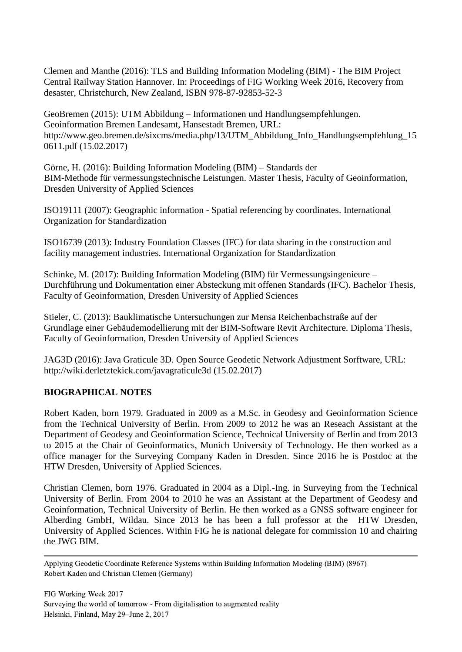Clemen and Manthe (2016): TLS and Building Information Modeling (BIM) - The BIM Project Central Railway Station Hannover. In: Proceedings of FIG Working Week 2016, Recovery from desaster, Christchurch, New Zealand, ISBN 978-87-92853-52-3

GeoBremen (2015): UTM Abbildung – Informationen und Handlungsempfehlungen. Geoinformation Bremen Landesamt, Hansestadt Bremen, URL: http://www.geo.bremen.de/sixcms/media.php/13/UTM\_Abbildung\_Info\_Handlungsempfehlung\_15 0611.pdf (15.02.2017)

Görne, H. (2016): Building Information Modeling (BIM) – Standards der BIM-Methode für vermessungstechnische Leistungen. Master Thesis, Faculty of Geoinformation, Dresden University of Applied Sciences

ISO19111 (2007): Geographic information - Spatial referencing by coordinates. International Organization for Standardization

ISO16739 (2013): Industry Foundation Classes (IFC) for data sharing in the construction and facility management industries. International Organization for Standardization

Schinke, M. (2017): Building Information Modeling (BIM) für Vermessungsingenieure – Durchführung und Dokumentation einer Absteckung mit offenen Standards (IFC). Bachelor Thesis, Faculty of Geoinformation, Dresden University of Applied Sciences

Stieler, C. (2013): Bauklimatische Untersuchungen zur Mensa Reichenbachstraße auf der Grundlage einer Gebäudemodellierung mit der BIM-Software Revit Architecture. Diploma Thesis, Faculty of Geoinformation, Dresden University of Applied Sciences

JAG3D (2016): Java Graticule 3D. Open Source Geodetic Network Adjustment Sorftware, URL: http://wiki.derletztekick.com/javagraticule3d (15.02.2017)

### **BIOGRAPHICAL NOTES**

Robert Kaden, born 1979. Graduated in 2009 as a M.Sc. in Geodesy and Geoinformation Science from the Technical University of Berlin. From 2009 to 2012 he was an Reseach Assistant at the Department of Geodesy and Geoinformation Science, Technical University of Berlin and from 2013 to 2015 at the Chair of Geoinformatics, Munich University of Technology. He then worked as a office manager for the Surveying Company Kaden in Dresden. Since 2016 he is Postdoc at the HTW Dresden, University of Applied Sciences.

Christian Clemen, born 1976. Graduated in 2004 as a Dipl.-Ing. in Surveying from the Technical University of Berlin. From 2004 to 2010 he was an Assistant at the Department of Geodesy and Geoinformation, Technical University of Berlin. He then worked as a GNSS software engineer for Alberding GmbH, Wildau. Since 2013 he has been a full professor at the HTW Dresden, University of Applied Sciences. Within FIG he is national delegate for commission 10 and chairing the JWG BIM.

 Applying Geodetic Coordinate Reference Systems within Building Information Modeling (BIM) (8967) Robert Kaden and Christian Clemen (Germany)